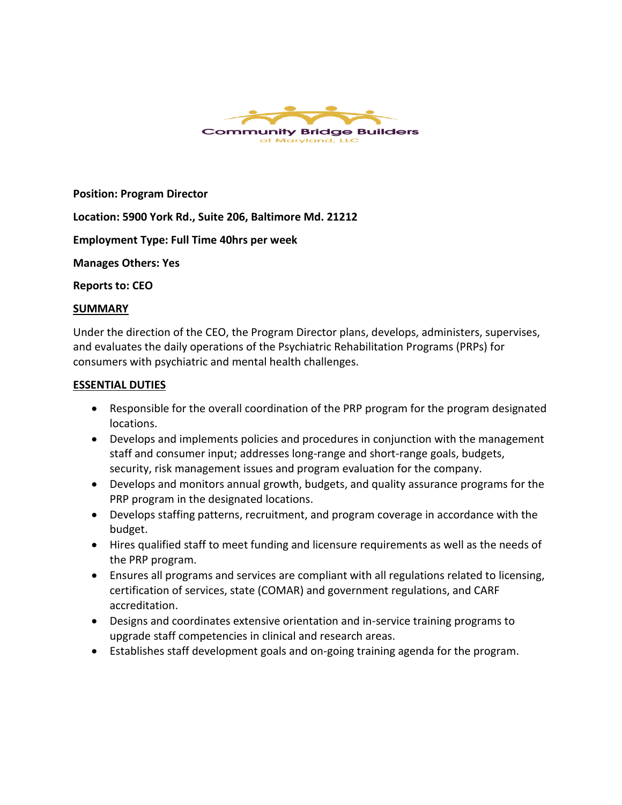

**Position: Program Director**

**Location: 5900 York Rd., Suite 206, Baltimore Md. 21212**

**Employment Type: Full Time 40hrs per week**

**Manages Others: Yes**

**Reports to: CEO**

#### **SUMMARY**

Under the direction of the CEO, the Program Director plans, develops, administers, supervises, and evaluates the daily operations of the Psychiatric Rehabilitation Programs (PRPs) for consumers with psychiatric and mental health challenges.

#### **ESSENTIAL DUTIES**

- Responsible for the overall coordination of the PRP program for the program designated locations.
- Develops and implements policies and procedures in conjunction with the management staff and consumer input; addresses long-range and short-range goals, budgets, security, risk management issues and program evaluation for the company.
- Develops and monitors annual growth, budgets, and quality assurance programs for the PRP program in the designated locations.
- Develops staffing patterns, recruitment, and program coverage in accordance with the budget.
- Hires qualified staff to meet funding and licensure requirements as well as the needs of the PRP program.
- Ensures all programs and services are compliant with all regulations related to licensing, certification of services, state (COMAR) and government regulations, and CARF accreditation.
- Designs and coordinates extensive orientation and in-service training programs to upgrade staff competencies in clinical and research areas.
- Establishes staff development goals and on-going training agenda for the program.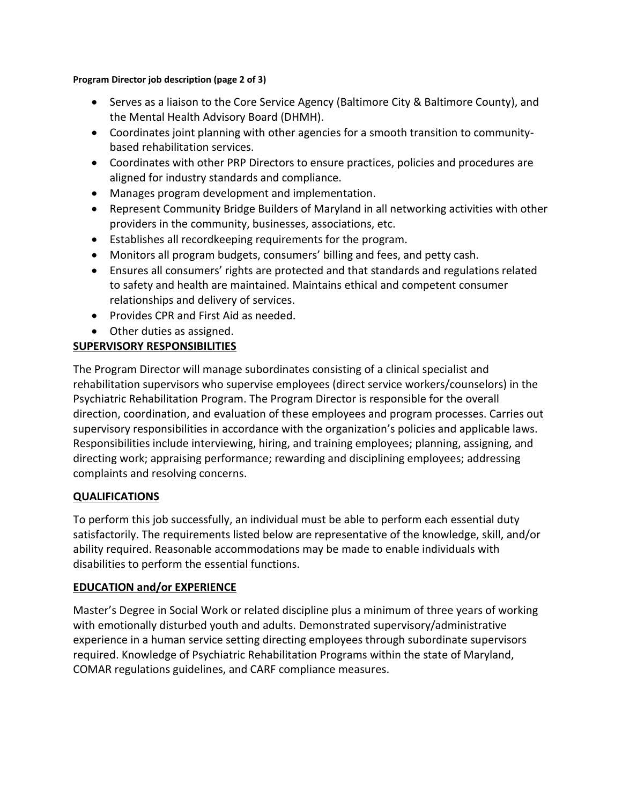#### **Program Director job description (page 2 of 3)**

- Serves as a liaison to the Core Service Agency (Baltimore City & Baltimore County), and the Mental Health Advisory Board (DHMH).
- Coordinates joint planning with other agencies for a smooth transition to communitybased rehabilitation services.
- Coordinates with other PRP Directors to ensure practices, policies and procedures are aligned for industry standards and compliance.
- Manages program development and implementation.
- Represent Community Bridge Builders of Maryland in all networking activities with other providers in the community, businesses, associations, etc.
- Establishes all recordkeeping requirements for the program.
- Monitors all program budgets, consumers' billing and fees, and petty cash.
- Ensures all consumers' rights are protected and that standards and regulations related to safety and health are maintained. Maintains ethical and competent consumer relationships and delivery of services.
- Provides CPR and First Aid as needed.
- Other duties as assigned.

# **SUPERVISORY RESPONSIBILITIES**

The Program Director will manage subordinates consisting of a clinical specialist and rehabilitation supervisors who supervise employees (direct service workers/counselors) in the Psychiatric Rehabilitation Program. The Program Director is responsible for the overall direction, coordination, and evaluation of these employees and program processes. Carries out supervisory responsibilities in accordance with the organization's policies and applicable laws. Responsibilities include interviewing, hiring, and training employees; planning, assigning, and directing work; appraising performance; rewarding and disciplining employees; addressing complaints and resolving concerns.

# **QUALIFICATIONS**

To perform this job successfully, an individual must be able to perform each essential duty satisfactorily. The requirements listed below are representative of the knowledge, skill, and/or ability required. Reasonable accommodations may be made to enable individuals with disabilities to perform the essential functions.

# **EDUCATION and/or EXPERIENCE**

Master's Degree in Social Work or related discipline plus a minimum of three years of working with emotionally disturbed youth and adults. Demonstrated supervisory/administrative experience in a human service setting directing employees through subordinate supervisors required. Knowledge of Psychiatric Rehabilitation Programs within the state of Maryland, COMAR regulations guidelines, and CARF compliance measures.